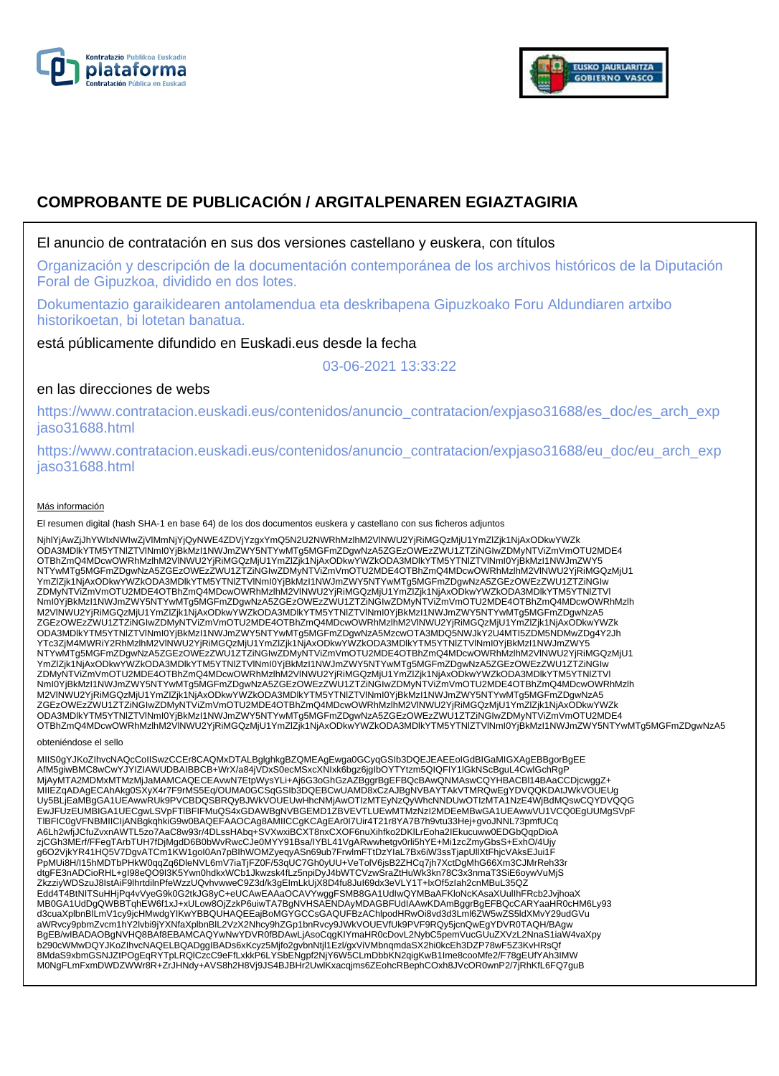



# **COMPROBANTE DE PUBLICACIÓN / ARGITALPENAREN EGIAZTAGIRIA**

# El anuncio de contratación en sus dos versiones castellano y euskera, con títulos

Organización y descripción de la documentación contemporánea de los archivos históricos de la Diputación Foral de Gipuzkoa, dividido en dos lotes.

Dokumentazio garaikidearen antolamendua eta deskribapena Gipuzkoako Foru Aldundiaren artxibo historikoetan, bi lotetan banatua.

está públicamente difundido en Euskadi.eus desde la fecha

03-06-2021 13:33:22

# en las direcciones de webs

https://www.contratacion.euskadi.eus/contenidos/anuncio\_contratacion/expjaso31688/es\_doc/es\_arch\_exp jaso31688.html

https://www.contratacion.euskadi.eus/contenidos/anuncio\_contratacion/expjaso31688/eu\_doc/eu\_arch\_exp jaso31688.html

### Más información

El resumen digital (hash SHA-1 en base 64) de los dos documentos euskera y castellano con sus ficheros adjuntos

NjhlYjAwZjJhYWIxNWIwZjVlMmNjYjQyNWE4ZDVjYzgxYmQ5N2U2NWRhMzlhM2VlNWU2YjRiMGQzMjU1YmZlZjk1NjAxODkwYWZk ODA3MDlkYTM5YTNlZTVlNmI0YjBkMzI1NWJmZWY5NTYwMTg5MGFmZDgwNzA5ZGEzOWEzZWU1ZTZiNGIwZDMyNTViZmVmOTU2MDE4 OTBhZmQ4MDcwOWRhMzlhM2VlNWU2YjRiMGQzMjU1YmZlZjk1NjAxODkwYWZkODA3MDlkYTM5YTNlZTVlNml0YjBkMzI1NWJmZWY5<br>NTYwMTg5MGFmZDgwNzA5ZGEzOWEzZWU1ZTZiNGIwZDMyNTViZmVmOTU2MDE4OTBhZmQ4MDcwOWRhMzlhM2VlNWU2YjRiMGQzMjU1 YmZlZjk1NjAxODkwYWZkODA3MDlkYTM5YTNIZTVlNmI0YjBkMzI1NWJmZWY5NTYwMTg5MGFmZDgwNzA5ZGEzOWEzZWU1ZTZiNGIw<br>ZDMyNTViZmVmOTU2MDE4OTBhZmQ4MDcwOWRhMzlhM2VlNWU2YjRiMGQzMjU1YmZlZjk1NjAxODkwYWZkODA3MDlkYTM5YTNIZTVI NmI0YjBkMzI1NWJmZWY5NTYwMTg5MGFmZDgwNzA5ZGEzOWEzZWU1ZTZiNGIwZDMyNTViZmVmOTU2MDE4OTBhZmQ4MDcwOWRhMzlh M2VlNWU2YjRiMGQzMjU1YmZlZjk1NjAxODkwYWZkODA3MDlkYTM5YTNlZTVlNmI0YjBkMzI1NWJmZWY5NTYwMTg5MGFmZDgwNzA5 ZGEzOWEzZWU1ZTZiNGIwZDMyNTViZmVmOTU2MDE4OTBhZmQ4MDcwOWRhMzlhM2VlNWU2YjRiMGQzMjU1YmZlZjk1NjAxODkwYWZk ODA3MDIkYTM5YTNIZTVINmI0YjBkMzI1NWJmZWY5NTYwMTg5MGFmZDgwNzA5MzcwOTA3MDQ5NWJkY2U4MTI5ZDM5NDMwZDg4Y2Jh<br>YTc3ZjM4MWRiY2RhMzIhM2VINWU2YjRiMGQzMjU1YmZlZjk1NjAxODkwYWZkODA3MDIkYTM5YTNIZTVINmI0YjBkMzI1NWJmZWY5 NTYwMTg5MGFmZDgwNzA5ZGEzOWEzZWU1ZTZiNGIwZDMyNTViZmVmOTU2MDE4OTBhZmQ4MDcwOWRhMzlhM2VlNWU2YjRiMGQzMjU1 YmZlZjk1NjAxODkwYWZkODA3MDlkYTM5YTNIZTVlNmI0YjBkMzI1NWJmZWY5NTYwMTg5MGFmZDgwNzA5ZGEzOWEzZWU1ZTZiNGIw<br>ZDMyNTViZmVmOTU2MDE4OTBhZmQ4MDcwOWRhMzlhM2VlNWU2YjRiMGQzMjU1YmZlZjk1NjAxODkwYWZkODA3MDlkYTM5YTNIZTVI NmI0YjBkMzI1NWJmZWY5NTYwMTg5MGFmZDgwNzA5ZGEzOWEzZWU1ZTZiNGIwZDMyNTViZmVmOTU2MDE4OTBhZmQ4MDcwOWRhMzlh M2VlNWU2YjRiMGQzMjU1YmZlZjk1NjAxODkwYWZkODA3MDlkYTM5YTNlZTVlNmI0YjBkMzI1NWJmZWY5NTYwMTg5MGFmZDgwNzA5 ZGEzOWEzZWU1ZTZiNGIwZDMyNTViZmVmOTU2MDE4OTBhZmQ4MDcwOWRhMzlhM2VINWU2YjRiMGQzMjU1YmZlZjk1NjAxODkwYWZk<br>ODA3MDlkYTM5YTNIZTVINmI0YjBkMzI1NWJmZWY5NTYwMTg5MGFmZDgwNzA5ZGEzOWEzZWU1ZTZiNGIwZDMyNTViZmVmOTU2MDE4<br>OTBhZmQ4MDcwOWRhMzlh

### obteniéndose el sello

MIIS0gYJKoZIhvcNAQcCoIISwzCCEr8CAQMxDTALBglghkgBZQMEAgEwga0GCyqGSIb3DQEJEAEEoIGdBIGaMIGXAgEBBgorBgEE AfM5giwBMC8wCwYJYIZIAWUDBAIBBCB+WrX/a84jVDxS0ecMSxcXNIxk6bgz6jgIbOYTYtzm5QIQFIY1lGkNScBguL4CwlGchRgP MjAyMTA2MDMxMTMzMjJaMAMCAQECEAvwN7EtpWysYLi+Aj6G3oGhGzAZBggrBgEFBQcBAwQNMAswCQYHBACBI14BAaCCDjcwggZ+<br>MIIEZqADAgECAhAkg0SXyX4r7F9rMS5Eq/OUMA0GCSqGSIb3DQEBCwUAMD8xCzAJBgNVBAYTAkVTMRQwEgYDVQQKDAtJWkVOUEUg Uy5BLjEaMBgGA1UEAwwRUk9PVCBDQSBRQyBJWkVOUEUwHhcNMjAwOTIzMTEyNzQyWhcNNDUwOTIzMTA1NzE4WjBdMQswCQYDVQQG EwJFUzEUMBIGA1UECgwLSVpFTlBFIFMuQS4xGDAWBgNVBGEMD1ZBVEVTLUEwMTMzNzI2MDEeMBwGA1UEAwwVU1VCQ0EgUUMgSVpF TlBFIC0gVFNBMIICIjANBgkqhkiG9w0BAQEFAAOCAg8AMIICCgKCAgEAr0I7Uir4T21r8YA7B7h9vtu33Hej+gvoJNNL73pmfUCq A6Lh2wfjJCfuZvxnAWTL5zo7AaC8w93r/4DLssHAbq+SVXwxiBCXT8nxCXOF6nuXihfko2DKlLrEoha2IEkucuww0EDGbQqpDioA zjCGh3MErf/FFegTArbTUH7fDjMgdD6B0bWvRwcCJe0MYY91Bsa/IYBL41VgARwwhetgv0rli5hYE+Mi1zcZmyGbsS+ExhO/4Ujy g6O2VjkYR41HQ5V7DgvATCm1KW1goI0An7pBIhWOMZyeqyASn69ub7FrwlmFTtDzYIaL7Bx6iW3ssTjapUllXtFhjcVAksEJui1F PpMUi8H/I15hMDTbPHkW0qqZq6DleNVL6mV7iaTjFZ0F/53qUC7Gh0yUU+VeTolV6jsB2ZHCq7jh7XctDgMhG66Xm3CJMrReh33r<br>dtgFE3nADCioRHL+gI98eQO9I3K5Ywn0hdkxWCb1Jkwzsk4fLz5npiDyJ4bWTCVzwSraZtHuWk3kn78C3x3nmaT3SiE6oywVuMjS ZkzziyWDSzuJ8IstAiF9lhrtdilnPfeWzzUQvhvwweC9Z3d/k3gEImLkUjX8D4fu8JuI69dx3eVLY1T+lxOf5zIah2cnMBuL35QZ Edd4T4BtNITSuHHjPq4vVyeG9k0G2tkJG8yC+eUCAwEAAaOCAVYwggFSMB8GA1UdIwQYMBaAFKloNcKAsaXUulIhFRcb2JvjhoaX MB0GA1UdDgQWBBTqhEW6f1xJ+xULow8OjZzkP6uiwTA7BgNVHSAENDAyMDAGBFUdIAAwKDAmBggrBgEFBQcCARYaaHR0cHM6Ly93 d3cuaXplbnBlLmV1cy9jcHMwdgYIKwYBBQUHAQEEajBoMGYGCCsGAQUFBzAChlpodHRwOi8vd3d3Lml6ZW5wZS5ldXMvY29udGVu aWRvcy9pbmZvcm1hY2lvbi9jYXNfaXplbnBlL2VzX2Nhcy9hZGp1bnRvcy9JWkVOUEVfUk9PVF9RQy5jcnQwEgYDVR0TAQH/BAgw<br>BgEB/wIBADAOBgNVHQ8BAf8EBAMCAQYwNwYDVR0fBDAwLjAsoCqgKIYmaHR0cDovL2NybC5pemVucGUuZXVzL2NnaS1iaW4vaXpy b290cWMwDQYJKoZlhvcNAQELBQADggIBADs6xKcyz5Mjfo2gvbnNtjl1Ezl/gxViVMbnqmdaSX2hi0kcEh3DZP78wF5Z3KvHRsQf<br>8MdaS9xbmGSNJZtPOgEqRYTpLRQlCzcC9eFfLxkkP6LYSbENgpf2NjY6W5CLmDbbKN2qigKwB1Ime8cooMfe2/F78gEUfYAh3IMW M0NgFLmFxmDWDZWWr8R+ZrJHNdy+AVS8h2H8Vj9JS4BJBHr2UwlKxacqjms6ZEohcRBephCOxh8JVcOR0wnP2/7jRhKfL6FQ7guB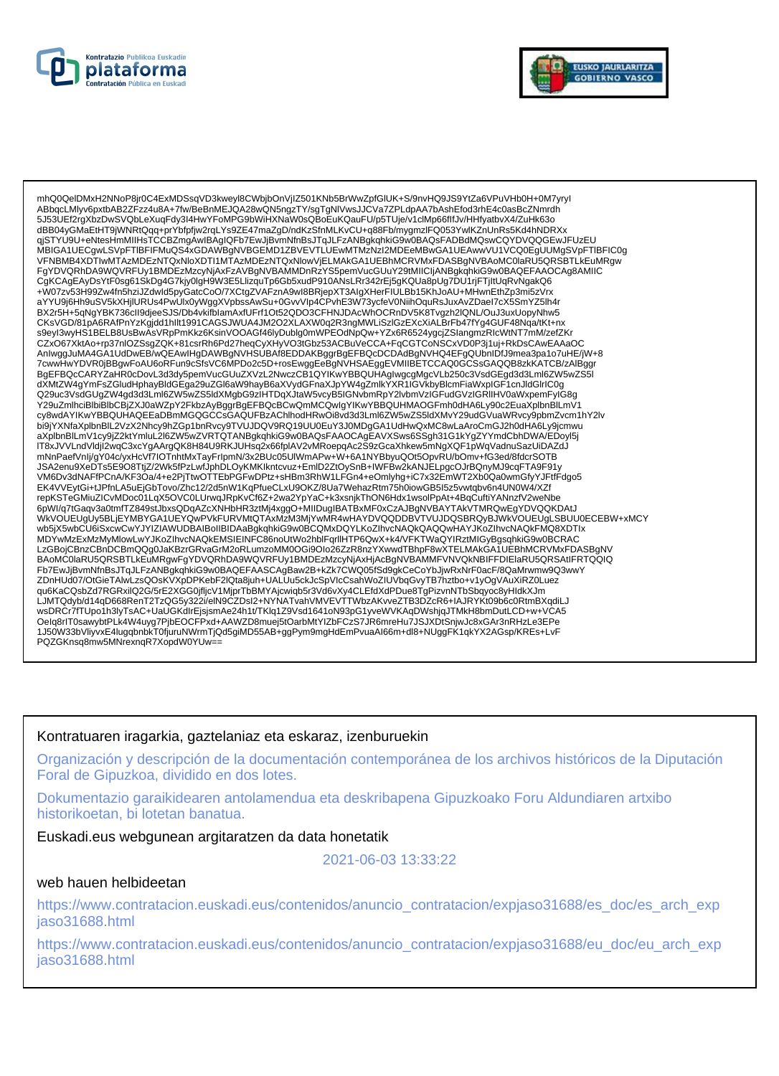



mhQ0QeIDMxH2NNoP8ir0C4ExMDSsqVD3kwevI8CWbibOnViIZ501KNb5BrWwZpfGIUK+S/9nvHQ9JS9YtZa6VPuVHb0H+0M7vrvI ABbqcLMlyv6pxtbAB2ZFzz4u8A+7fw/BeBnMEJQA28wQN5ngzTY/sgTgNlVwsJJCVa7ZPLdpAA7bAshEfod3rhE4c0asBcZNmrdh 5J53UEf2rgXbzDwSVQbLeXuqFdy3I4HwYFoMPG9bWiHXNaW0sQBoEuKQauFU/p5TUje/v1clMp66flfJv/HHfyatbvX4/ZuHk63o dBB04yGMaEtHT9jWNRtQqq+prYbfpfjw2rqLYs9ZE47maZgD/ndKzSfnMLKvCU+q88Fb/mygmzlFQ053YwlKZnUnRs5Kd4hNDRXx qjSTYU9U+eNtesHmMIIHsTCCBZmgAwIBAgIQFb7EwJjBvmNfnBsJTqJLFzANBgkqhkiG9w0BAQsFADBdMQswCQYDVQQGEwJFUzEU MBIGA1UECgwLSVpFTIBFIFMuQS4xGDAWBgNVBGEMD1ZBVEVTLUEwMTMzNzI2MDEeMBwGA1UEAwwVU1VCQ0EgUUMgSVpFTIBFIC0g VFNBMB4XDTIwMTAzMDEzNTQxNloXDTI1MTAzMDEzNTQxNlowVjELMAkGA1UEBhMCRVMxFDASBgNVBAoMC0laRU5QRSBTLKEuMRgw FgYDVQRhDA9WQVRFUy1BMDEzMzcyNjAxFzAVBgNVBAMMDnRzYS5pemVucGUuY29tMIICIjANBgkqhkiG9w0BAQEFAAOCAg8AMIIC CgKCAgEAyDsYtF0sg61SkDg4G7kjy0lgH9W3E5LlizquTp6Gb5xudP910ANsLRr342rEj5gKQUa8pUg7DU1rjFTjltUqRvNgakQ6<br>CgKCAgEAyDsYtF0sg61SkDg4G7kjy0lgH9W3E5LlizquTp6Gb5xudP910ANsLRr342rEj5gKQUa8pUg7DU1rjFTjltUqRvNgakQ6<br>+W07zv53H99Zw4fn5hzi aYYU9j6Hh9uSV5kXHjIURUs4PwUlx0yWggXVpbssAwSu+0GvvVlp4CPvhE3W73ycfeV0NiihOquRsJuxAvZDaeI7cX5SmYZ5lh4r BX2r5H+5qNgYBK736cll9djeeSJS/Db4vkifblamAxfUFrf1Ot52QDO3CFHNJDAcWhOCRnDV5K8Tvgzh2lQNL/OuJ3uxUopyNhw5 CKsVGD/81pA6RAfPnYzKgjdd1hllt1991CAGSJWUA4JM2O2XLAXW0q2R3ngMWLiSzlGzEXcXiALBrFb47fYg4GUF48Nqa/tKt+nx s9eyl3wyHS1BELB8UsBwAsVRpPmKkz6KsinVOOAGf46lyDublg0mWPEOdNpQw+YZx6R6524ygcjZSlangmzRlcWtNT7mM/zefZKr CZxO67XktAo+rp37nlOZSsgZQK+81csrRh6Pd27heqCyXHyVO3tGbz53ACBuVeCCA+FqCGTCoNSCxVD0P3j1uj+RkDsCAwEAAaOC AnlwggJuMA4GA1UdDwEB/wQEAwlHgDAWBgNVHSUBAf8EDDAKBggrBgEFBQcDCDAdBgNVHQ4EFgQUbnIDfJ9mea3pa1o7uHE/jW+8 Allinggound-Advanced-District Processes of the Companion Construct Companion of the Companion Companion Compan<br>PowwhwYDVR0jBBgwFoAU6oRFun9cSfsVC6MPDo2c5D+rosEwggEeBgNVHSAEggEVMIIBETCCAQ0GCSsGAQQB8zkKATCB/zAlBgg<br>BgEFBQcCARY dXMtZW4qYmFsZGludHphayBldGEga29uZGl6aW9hayB6aXVydGFnaXJpYW4gZmlkYXR1IGVkbyBlcmFiaWxplGF1cnJldGlrlC0g Q29uc3VsdGUgZW4gd3d3Lml6ZW5wZS5ldXMgbG9zIHTDqXJtaW5vcyB5IGNvbmRpY2lvbmVzIGFudGVzIGRIIHV0aWxpemFyIG8g Y29uZmlhciBlbiBlbCBjZXJ0aWZpY2FkbzAyBggrBgEFBQcBCwQmMCQwlgYlKwYBBQUHMAOGFmh0dHA6Ly90c2EuaXplbnBlLmV1 cy8wdAYIKwYBBQUHAQEEaDBmMGQGCCSGAQUFBzAChlhodHRwOi8vd3d3Lml6ZW5wZS5ldXMvY29udGVuaWRvcy9pbmZvcm1hY2lv bi9jYXNfaXplbnBlL2VzX2Nhcy9hZGp1bnRvcy9TVUJDQV9RQ19UU0EuY3J0MDgGA1UdHwQxMC8wLaAroCmGJ2h0dHA6Ly9jcmwu aXplbnBlLmV1cy9jZ2ktYmluL2l6ZW5wZVRTQTANBgkqhkiG9w0BAQsFAAOCAgEAVXSws6SSgh31G1kYgZYYmdCbhDWA/EDoyl5j ακγιωπισιωπιν τις» με εκπιτιωμα του καταγωνικα της παραγωτικα στην ανασκημεία της ανασκευασματικής της πολύγησ<br>Της προσπαθηματικής της προσπαθηματικής της προσπαθηματικής της προσπαθηματικής της προσπαθηματικής της προσπ JSA2enu9XeDTs5E9O8TtjZ/2Wk5fPzLwfJphDLOyKMKIkntcvuz+EmID2ZtOySnB+IWFBw2kANJELpgcOJrBQnyMJ9cqFTA9F91y VM6Dv3dNAFfPCnA/KF3Oa/4+e2PjTtwOTTEbPGFwDPtz+sHBm3RhW1LFGn4+eOmlyhg+iC7x32EmWT2Xb0Qa0wmGfyYJFtfFdgo5 EK4VVEytGi+tJPfnLA5uEjGbTovo/Zhc12/2d5nW1KqPfueCLxU9OKZ/8Ua7WehazRtm75h0iowGB5I5z5vwtqbv6n4UN0W4/XZf repKSTeGMiuZICvMDoc01LqX5OVC0LUrwqJRpKvCf6Z+2wa2YpYaC+k3xsnjkThON6Hdx1wsolPpAt+4BqCuftiYANnzfV2weNbe 6pWl/q7tGaqv3a0tmfTZ849stJbxsQDqAZcXNHbHR3ztMj4xggO+MlIDuglBATBxMF0xCzAJBgNVBAYTAkVTMRQwEgYDVQQKDAtJ<br>WkVOUEUgUy5BLjEYMBYGA1UEYQwPVkFURVMtQTAxMzM3MjYwMR4wHAYDVQQDDBVTVUJDQSBRQyBJWkVOUEUgLSBUU0ECEBW+xMCY wb5jX5wbCU6iSxcwCwYJYIZIAWUDBAIBoIIBIDAaBgkqhkiG9w0BCQMxDQYLKoZIhvcNAQkQAQQwHAYJKoZIhvcNAQkFMQ8XDTlx MDYwMzExMzMyMlowLwYJKoZIhvcNAQkEMSIEINFC86noUtWo2hblFgrllHTP6QwX+k4/VFKTWaQYIRztMIGyBgsghkiG9w0BCRAC LzGBojCBnzCBnDCBmQQg0JaKBzrGRvaGrM2oRLumzoMM0OGi9Olo26ZzR8nzYXwwdTBhpF8wXTELMAkGA1UEBhMCRVMxFDASBgNV BAoMC0laRU5QRSBTLkEuMRgwFgYDVQRhDA9WQVRFUy1BMDEzMzcyNjAxHjAcBgNVBAMMFVNVQkNBIFFDIElaRU5QRSAtIFRTQQIQ Fb7EwJjBvmNfnBsJTqJLFzANBgkqhkiG9w0BAQEFAASCAgBaw2B+kZk7CWQ05fSd9gkCeCoYbJjwRxNrF0acF/8QaMrwmw9Q3wwY ZDnHUd07/OtGieTAlwLzsQOsKVXpDPKebF2lQta8juh+UALUu5ckJcSpVlcCsahWoZIUVbqGvyTB7hztbo+v1yOgVAuXiRZ0Luez qu6KaCQsbZd7RGRxilQ2G/5rE2XGG0jfljcV1MjprTbBMYAjcwiqb5r3Vd6vXy4CLEfdXdPDue8TgPizvnNTbSbqyoc8yHldkXJm<br>LJMTQdyb/d14qD668RenT2TzQG5y322i/elN9CZDsl2+NYNATvahVMVEVTTWbzAKvveZTB3DZcR6+IAJRYKt09b6c0RtmBXqdiLJ www.autorysiu-region.com/sin/2007/02/22/entrole-22/autorsity-region.com/sin/2007/22/entrole-autorsity-region.com/<br>MSDRCr7fTUpo1h3lyTsAC+UaUGKdIrEjsismAe24h1t/TKlq1Z9Vsd1641oN93pG1yveWVKAqDWshjqJTMkH8bmDutLCD+w+VCA5<br>Oelq8 1J50W33bVliyvxE4lugqbnbKT0fjuruNWrmTjQd5giMD55AB+ggPym9mgHdEmPvuaAl66m+dl8+NUggFK1qkYX2AGsp/KREs+LvF PQZGKnsq8mw5MNrexnqR7XopdW0YUw=

# Kontratuaren iragarkia, gaztelaniaz eta eskaraz, izenburuekin

Organización y descripción de la documentación contemporánea de los archivos históricos de la Diputación Foral de Gipuzkoa, dividido en dos lotes.

Dokumentazio garaikidearen antolamendua eta deskribapena Gipuzkoako Foru Aldundiaren artxibo historikoetan, bi lotetan banatua.

Euskadi.eus webgunean argitaratzen da data honetatik

2021-06-03 13:33:22

### web hauen helbideetan

https://www.contratacion.euskadi.eus/contenidos/anuncio\_contratacion/expjaso31688/es\_doc/es\_arch\_exp jaso31688.html

https://www.contratacion.euskadi.eus/contenidos/anuncio\_contratacion/expjaso31688/eu\_doc/eu\_arch\_exp iaso31688.html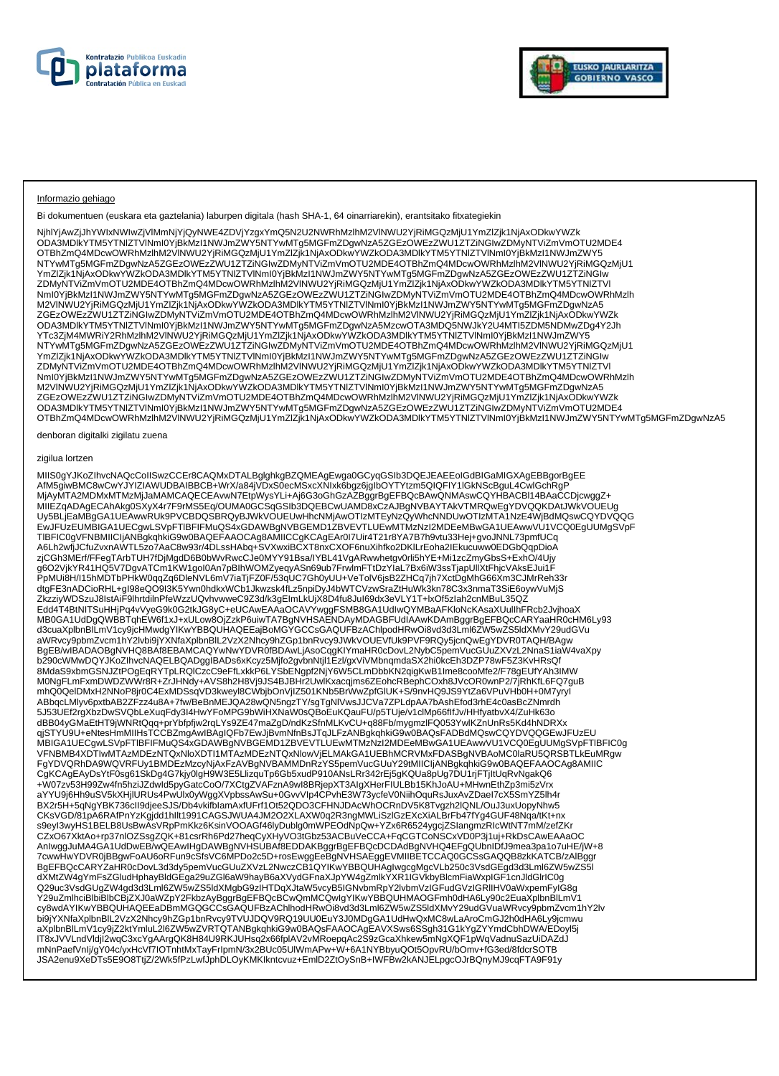



#### Informazio gehiago

Bi dokumentuen (euskara eta gaztelania) laburpen digitala (hash SHA-1, 64 oinarriarekin), erantsitako fitxategiekin

NjhlYjAwZjJhYWIxNWIwZjVlMmNjYjQyNWE4ZDVjYzgxYmQ5N2U2NWRhMzlhM2VlNWU2YjRiMGQzMjU1YmZlZjk1NjAxODkwYWZk ODA3MDlkYTM5YTNlZTVlNmI0YjBkMzI1NWJmZWY5NTYwMTg5MGFmZDgwNzA5ZGEzOWEzZWU1ZTZiNGIwZDMyNTViZmVmOTU2MDE4 OTBhZmQ4MDcwOWRhMzlhM2VlNWU2YjRiMGQzMjU1YmZlZjk1NjAxODkwYWZkODA3MDlkYTM5YTNlZTVlNmI0YjBkMzI1NWJmZWY5 NTYwMTg5MGFmZDgwNzA5ZGEzOWEzZWU1ZTZiNGIwZDMyNTViZmVmOTU2MDE4OTBhZmQ4MDcwOWRhMzlhM2VlNWU2YjRiMGQzMjU1<br>YmZlZjk1NjAxODkwYWZkODA3MDlkYTM5YTNIZTVlNmI0YjBkMzI1NWJmZWY5NTYwMTg5MGFmZDgwNzA5ZGEzOWEzZWU1ZTZiNGIw ZDMyNTViZmVmOTU2MDE4OTBhZmQ4MDcwOWRhMzlhM2VlNWU2YjRiMGQzMjU1YmZlZjk1NjAxODkwYWZkODA3MDlkYTM5YTNlZTVl NmI0YjBkMzI1NWJmZWY5NTYwMTg5MGFmZDgwNzA5ZGEzOWEzZWU1ZTZiNGIwZDMyNTViZmVmOTU2MDE4OTBhZmQ4MDcwOWRhMzlh M2VlNWU2YjRiMGQzMjU1YmZlZjk1NjAxODkwYWZkODA3MDlkYTM5YTNlZTVlNmI0YjBkMzI1NWJmZWY5NTYwMTg5MGFmZDgwNzA5 ZGEzOWEzZWU1ZTZiNGIwZDMyNTViZmVmOTU2MDE4OTBhZmQ4MDcwOWRhMzlhM2VlNWU2YjRiMGQzMjU1YmZlZjk1NjAxODkwYWZk ODA3MDlkYTM5YTNIZTVINmI0YjBkMzI1NWJmZWY5NTYwMTg5MGFmZDgwNzA5MzcwOTA3MDQ5NWJkY2U4MTI5ZDM5NDMwZDg4Y2Jh<br>YTc3ZjM4MWRiY2RhMzIhM2VINWU2YjRiMGQzMjU1YmZlZjk1NjAxODkwYWZkODA3MDlkYTM5YTNIZTVINmI0YjBkMzI1NWJmZWY5<br>NTYwMTg5MGFmZDgwNzA5 NmI0YjBkMzI1NWJmZWY5NTYwMTg5MGFmZDgwNzA5ZGEzOWEzZWU1ZTZiNGIwZDMyNTViZmVmOTU2MDE4OTBhZmQ4MDcwOWRhMzlh M2VlNWU2YjRiMGQzMjU1YmZlZjk1NjAxODkwYWZkODA3MDlkYTM5YTNlZTVlNmI0YjBkMzI1NWJmZWY5NTYwMTg5MGFmZDgwNzA5 ZGEzOWEzZWU1ZTZiNGIwZDMyNTViZmVmOTU2MDE4OTBhZmQ4MDcwOWRhMzlhM2VlNWU2YjRiMGQzMjU1YmZlZjk1NjAxODkwYWZk ODA3MDlkYTM5YTNlZTVlNmI0YjBkMzI1NWJmZWY5NTYwMTg5MGFmZDgwNzA5ZGEzOWEzZWU1ZTZiNGIwZDMyNTViZmVmOTU2MDE4 OTBhZmQ4MDcwOWRhMzlhM2VlNWU2YjRiMGQzMjU1YmZlZjk1NjAxODkwYWZkODA3MDlkYTM5YTNlZTVlNmI0YjBkMzI1NWJmZWY5NTYwMTg5MGFmZDgwNzA5

denboran digitalki zigilatu zuena

#### zigilua lortzen

MIIS0gYJKoZIhvcNAQcCoIISwzCCEr8CAQMxDTALBglghkgBZQMEAgEwga0GCyqGSIb3DQEJEAEEoIGdBIGaMIGXAgEBBgorBgEE AfM5giwBMC8wCwYJYIZIAWUDBAIBBCB+WrX/a84jVDxS0ecMSxcXNIxk6bgz6jgIbOYTYtzm5QIQFIY1IGkNScBguL4CwlGchRgP<br>MjAyMTA2MDMxMTMzMjJaMAMCAQECEAvwN7EtpWysYLi+Aj6G3oGhGzAZBggrBgEFBQcBAwQNMAswCQYHBACBI14BAaCCDjcwggZ+ MIIEZqADAgECAhAkg0SXyX4r7F9rMS5Eq/OUMA0GCSqGSIb3DQEBCwUAMD8xCzAJBgNVBAYTAkVTMRQwEgYDVQQKDAtJWkVOUEUg Uy5BLjEaMBgGA1UEAwwRUk9PVCBDQSBRQyBJWkVOUEUwHhcNMjAwOTIzMTEyNzQyWhcNNDUwOTIzMTA1NzE4WjBdMQswCQYDVQQG EwJFUzEUMBIGA1UECgwLSVpFTlBFIFMuQS4xGDAWBgNVBGEMD1ZBVEVTLUEwMTMzNzI2MDEeMBwGA1UEAwwVU1VCQ0EgUUMgSVpF TlBFIC0gVFNBMIICIjANBgkqhkiG9w0BAQEFAAOCAg8AMIICCgKCAgEAr0I7Uir4T21r8YA7B7h9vtu33Hej+gvoJNNL73pmfUCq A6Lh2wfjJCfuZvxnAWTL5zo7AaC8w93r/4DLssHAbq+SVXwxiBCXT8nxCXOF6nuXihfko2DKlLrEoha2IEkucuww0EDGbQqpDioA<br>zjCGh3MErf/FFegTArbTUH7fDjMgdD6B0bWvRwcCJe0MYY91Bsa/IYBL41VgARwwhetgv0rli5hYE+Mi1zcZmyGbsS+ExhO/4Ujy g6O2VjkYR41HQ5V7DgvATCm1KW1goI0An7pBIhWOMZyeqyASn69ub7FrwlmFTtDzYIaL7Bx6iW3ssTjapUllXtFhjcVAksEJui1F<br>PpMUi8H/I15hMDTbPHkW0qqZq6DleNVL6mV7iaTjFZ0F/53qUC7Gh0yUU+VeTolV6jsB2ZHCq7jh7XctDgMhG66Xm3CJMrReh33r dtgFE3nADCioRHL+gI98eQO9I3K5Ywn0hdkxWCb1Jkwzsk4fLz5npiDyJ4bWTCVzwSraZtHuWk3kn78C3x3nmaT3SiE6oywVuMjS ZkzziyWDSzuJ8IstAiF9lhrtdilnPfeWzzUQvhvwweC9Z3d/k3gEImLkUjX8D4fu8JuI69dx3eVLY1T+lxOf5zIah2cnMBuL35QZ Edd4T4BtNITSuHHjPq4vVyeG9k0G2tkJG8yC+eUCAwEAAaOCAVYwggFSMB8GA1UdIwQYMBaAFKloNcKAsaXUulIhFRcb2JvjhoaX<br>MB0GA1UdDgQWBBTqhEW6f1xJ+xULow8OjZzkP6uiwTA7BgNVHSAENDAyMDAGBFUdIAAwKDAmBggrBgEFBQcCARYaaHR0cHM6Ly93 d3cuaXplbnBlLmV1cy9jcHMwdgYIKwYBBQUHAQEEajBoMGYGCCsGAQUFBzAChlpodHRwOi8vd3d3Lml6ZW5wZS5IdXMvY29udGVu<br>aWRvcy9pbmZvcm1hY2lvbi9jYXNfaXplbnBlL2VzX2Nhcy9hZGp1bnRvcy9JWkVOUEVfUk9PVF9RQy5jcnQwEgYDVR0TAQH/BAgw<br>BgEB/wIBADAOBgNVHQ8B 8MdaS9xbmGSNJZtPOgEqRYTpLRQlCzcC9eFfLxkkP6LYSbENgpf2NjY6W5CLmDbbKN2qigKwB1Ime8cooMfe2/F78gEUfYAh3IMW M0NgFLmFxmDWDZWWr8R+ZrJHNdy+AVS8h2H8Vj9JS4BJBHr2UwlKxacqjms6ZEohcRBephCOxh8JVcOR0wnP2/7jRhKfL6FQ7guB mhQ0QelDMxH2NNoP8jr0C4ExMDSsqVD3kweyl8CWbjbOnVjIZ501KNb5BrWwZpfGlUK+S/9nvHQ9JS9YtZa6VPuVHb0H+0M7yryI ABbqcLMlyv6pxtbAB2ZFzz4u8A+7fw/BeBnMEJQA28wQN5ngzTY/sgTgNlVwsJJCVa7ZPLdpAA7bAshEfod3rhE4c0asBcZNmrdh 5J53UEf2rgXbzDwSVQbLeXuqFdy3I4HwYFoMPG9bWiHXNaW0sQBoEuKQauFU/p5TUje/v1clMp66flfJv/HHfyatbvX4/ZuHk63o<br>dBB04yGMaEtHT9jWNRtQqq+prYbfpfjw2rqLYs9ZE47maZgD/ndKzSfnMLKvCU+q88Fb/mygmzlFQ053YwlKZnUnRs5Kd4hNDRXx qjSTYU9U+eNtesHmMIIHsTCCBZmgAwIBAgIQFb7EwJjBvmNfnBsJTqJLFzANBgkqhkiG9w0BAQsFADBdMQswCQYDVQQGEwJFUzEU<br>MBIGA1UECgwLSVpFTIBFIFMuQS4xGDAWBgNVBGEMD1ZBVEVTLUEwMTMzNzI2MDEeMBwGA1UEAwwVU1VCQ0EgUUMgSVpFTIBFIC0g VFNBMB4XDTIwMTAzMDEzNTQxNloXDTI1MTAzMDEzNTQxNlowVjELMAkGA1UEBhMCRVMxFDASBgNVBAoMC0laRU5QRSBTLkEuMRgw FgYDVQRhDA9WQVRFUy1BMDEzMzcyNjAxFzAVBgNVBAMMDnRzYS5pemVucGUuY29tMIICIjANBgkqhkiG9w0BAQEFAAOCAg8AMIIC CgKCAgEAyDsYtF0sg61SkDg4G7kjy0lgH9W3E5LlizquTp6Gb5xudP910ANsLRr342rEj5gKQUa8pUg7DU1rjFTjItUqRvNgakQ6 +W07zv53H99Zw4fn5hziJZdwId5pyGatcCoO/7XCtgZVAFznA9wI8BRjepXT3AIgXHerFIULBb15KhJoAU+MHwnEthZp3mi5zVrx aYYU9j6Hh9uSV5kXHjIURUs4PwUlx0yWggXVpbssAwSu+0GvvVIp4CPvhE3W73ycfeV0NiihOquRsJuxAvZDaeI7cX5SmYZ5lh4r<br>BX2r5H+5qNgYBK736cII9djeeSJS/Db4vkifbIamAxfUFrf1Ot52QDO3CFHNJDAcWhOCRnDV5K8Tvgzh2lQNL/OuJ3uxUopyNhw5 CKsVGD/81pA6RAfPnYzKgjdd1hllt1991CAGSJWUA4JM2O2XLAXW0q2R3ngMWLiSzlGzEXcXiALBrFb47fYg4GUF48Nqa/tKt+nx<br>s9eyI3wyHS1BELB8UsBwAsVRpPmKkz6KsinVOOAGf46lyDublg0mWPEOdNpQw+YZx6R6524ygcjZSlangmzRIcWtNT7mM/zefZKr CZxO67XktAo+rp37nlOZSsgZQK+81csrRh6Pd27heqCyXHyVO3tGbz53ACBuVeCCA+FqCGTCoNSCxVD0P3j1uj+RkDsCAwEAAaOC AnIwggJuMA4GA1UdDwEB/wQEAwIHgDAWBgNVHSUBAf8EDDAKBggrBgEFBQcDCDAdBgNVHQ4EFgQUbnIDfJ9mea3pa1o7uHE/jW+8 7cwwHwYDVR0jBBgwFoAU6oRFun9cSfsVC6MPDo2c5D+rosEwggEeBgNVHSAEggEVMIIBETCCAQ0GCSsGAQQB8zkKATCB/zAlBggr<br>BgEFBQcCARYZaHR0cDovL3d3dy5pemVucGUuZXVzL2NwczCB1QYIKwYBBQUHAgIwgcgMgcVLb250c3VsdGEgd3d3Lml6ZW5wZS5I dXMtZW4gYmFsZGludHphayBldGEga29uZGl6aW9hayB6aXVydGFnaXJpYW4gZmlkYXR1IGVkbyBlcmFiaWxpIGF1cnJldGlrIC0g<br>Q29uc3VsdGUgZW4gd3d3Lml6ZW5wZS5ldXMgbG9zIHTDqXJtaW5vcyB5IGNvbmRpY2lvbmVzIGFudGVzIGRIIHV0aWxpemFyIG8g Y29uZmlhciBlbiBlbCBjZXJ0aWZpY2FkbzAyBggrBgEFBQcBCwQmMCQwIgYIKwYBBQUHMAOGFmh0dHA6Ly90c2EuaXplbnBlLmV1<br>cy8wdAYIKwYBBQUHAQEEaDBmMGQGCCsGAQUFBzAChlhodHRwOi8vd3d3Lml6ZW5wZS5ldXMvY29udGVuaWRvcy9pbmZvcm1hY2lv bi9jYXNfaXplbnBlL2VzX2Nhcy9hZGp1bnRvcy9TVUJDQV9RQ19UU0EuY3J0MDgGA1UdHwQxMC8wLaAroCmGJ2h0dHA6Ly9jcmwu aXplbnBlLmV1cy9jZ2ktYmluL2l6ZW5wZVRTQTANBgkqhkiG9w0BAQsFAAOCAgEAVXSws6SSgh31G1kYgZYYmdCbhDWA/EDoyl5j lT8xJVVLndVldjI2wqC3xcYgAArgQK8H84U9RKJUHsq2x66fplAV2vMRoepqAc2S9zGcaXhkew5mNgXQF1pWqVadnuSazUiDAZdJ<br>mNnPaefVnIj/gY04c/yxHcVf7lOTnhtMxTayFrIpmN/3x2BUc05UlWmAPw+W+6A1NYBbyuQOt5OpvRU/bOmv+fG3ed/8fdcrSOTB JSA2enu9XeDTs5E9O8TtjZ/2Wk5fPzLwfJphDLOyKMKIkntcvuz+EmlD2ZtOySnB+IWFBw2kANJELpgcOJrBQnyMJ9cqFTA9F91y